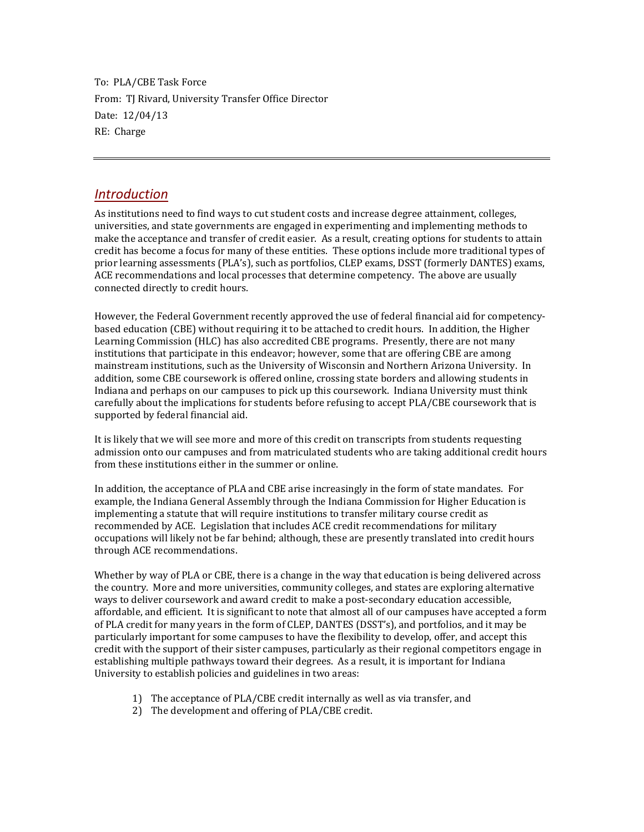To: PLA/CBE Task Force From: TJ Rivard, University Transfer Office Director Date: 12/04/13 RE: Charge

## *Introduction*

As institutions need to find ways to cut student costs and increase degree attainment, colleges, universities, and state governments are engaged in experimenting and implementing methods to make the acceptance and transfer of credit easier. As a result, creating options for students to attain credit has become a focus for many of these entities. These options include more traditional types of prior learning assessments (PLA's), such as portfolios, CLEP exams, DSST (formerly DANTES) exams, ACE recommendations and local processes that determine competency. The above are usually connected directly to credit hours.

However, the Federal Government recently approved the use of federal financial aid for competencybased education (CBE) without requiring it to be attached to credit hours. In addition, the Higher Learning Commission (HLC) has also accredited CBE programs. Presently, there are not many institutions that participate in this endeavor; however, some that are offering CBE are among mainstream institutions, such as the University of Wisconsin and Northern Arizona University. In addition, some CBE coursework is offered online, crossing state borders and allowing students in Indiana and perhaps on our campuses to pick up this coursework. Indiana University must think carefully about the implications for students before refusing to accept PLA/CBE coursework that is supported by federal financial aid.

It is likely that we will see more and more of this credit on transcripts from students requesting admission onto our campuses and from matriculated students who are taking additional credit hours from these institutions either in the summer or online.

In addition, the acceptance of PLA and CBE arise increasingly in the form of state mandates. For example, the Indiana General Assembly through the Indiana Commission for Higher Education is implementing a statute that will require institutions to transfer military course credit as recommended by ACE. Legislation that includes ACE credit recommendations for military occupations will likely not be far behind; although, these are presently translated into credit hours through ACE recommendations.

Whether by way of PLA or CBE, there is a change in the way that education is being delivered across the country. More and more universities, community colleges, and states are exploring alternative ways to deliver coursework and award credit to make a post-secondary education accessible, affordable, and efficient. It is significant to note that almost all of our campuses have accepted a form of PLA credit for many years in the form of CLEP, DANTES (DSST's), and portfolios, and it may be particularly important for some campuses to have the flexibility to develop, offer, and accept this credit with the support of their sister campuses, particularly as their regional competitors engage in establishing multiple pathways toward their degrees. As a result, it is important for Indiana University to establish policies and guidelines in two areas:

- 1) The acceptance of PLA/CBE credit internally as well as via transfer, and
- 2) The development and offering of PLA/CBE credit.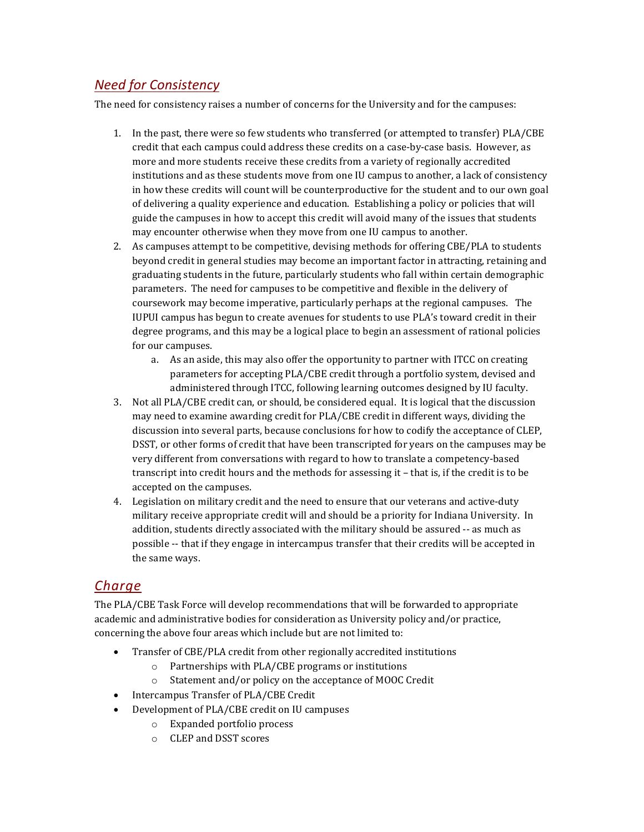## *Need for Consistency*

The need for consistency raises a number of concerns for the University and for the campuses:

- 1. In the past, there were so few students who transferred (or attempted to transfer) PLA/CBE credit that each campus could address these credits on a case-by-case basis. However, as more and more students receive these credits from a variety of regionally accredited institutions and as these students move from one IU campus to another, a lack of consistency in how these credits will count will be counterproductive for the student and to our own goal of delivering a quality experience and education. Establishing a policy or policies that will guide the campuses in how to accept this credit will avoid many of the issues that students may encounter otherwise when they move from one IU campus to another.
- 2. As campuses attempt to be competitive, devising methods for offering CBE/PLA to students beyond credit in general studies may become an important factor in attracting, retaining and graduating students in the future, particularly students who fall within certain demographic parameters. The need for campuses to be competitive and flexible in the delivery of coursework may become imperative, particularly perhaps at the regional campuses. The IUPUI campus has begun to create avenues for students to use PLA's toward credit in their degree programs, and this may be a logical place to begin an assessment of rational policies for our campuses.
	- a. As an aside, this may also offer the opportunity to partner with ITCC on creating parameters for accepting PLA/CBE credit through a portfolio system, devised and administered through ITCC, following learning outcomes designed by IU faculty.
- 3. Not all PLA/CBE credit can, or should, be considered equal. It is logical that the discussion may need to examine awarding credit for PLA/CBE credit in different ways, dividing the discussion into several parts, because conclusions for how to codify the acceptance of CLEP, DSST, or other forms of credit that have been transcripted for years on the campuses may be very different from conversations with regard to how to translate a competency-based transcript into credit hours and the methods for assessing it – that is, if the credit is to be accepted on the campuses.
- 4. Legislation on military credit and the need to ensure that our veterans and active-duty military receive appropriate credit will and should be a priority for Indiana University. In addition, students directly associated with the military should be assured -- as much as possible -- that if they engage in intercampus transfer that their credits will be accepted in the same ways.

## *Charge*

The PLA/CBE Task Force will develop recommendations that will be forwarded to appropriate academic and administrative bodies for consideration as University policy and/or practice, concerning the above four areas which include but are not limited to:

- Transfer of CBE/PLA credit from other regionally accredited institutions
	- o Partnerships with PLA/CBE programs or institutions
	- o Statement and/or policy on the acceptance of MOOC Credit
- Intercampus Transfer of PLA/CBE Credit
- Development of PLA/CBE credit on IU campuses
	- o Expanded portfolio process
	- o CLEP and DSST scores